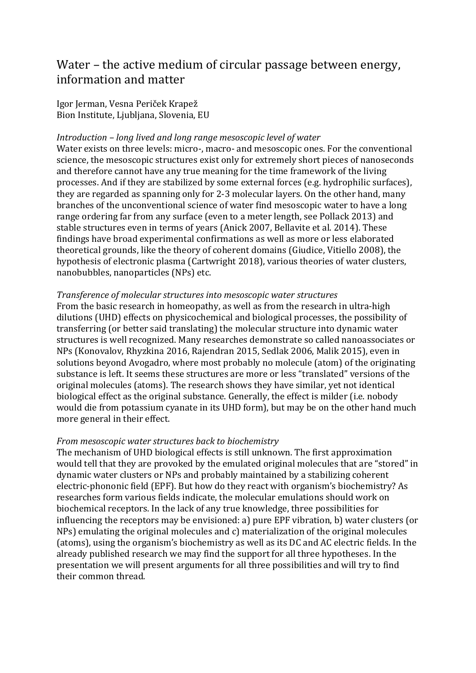# Water – the active medium of circular passage between energy, information and matter

Igor Jerman, Vesna Periček Krapež Bion Institute, Ljubljana, Slovenia, EU

## *Introduction – long lived and long range mesoscopic level of water*

Water exists on three levels: micro-, macro- and mesoscopic ones. For the conventional science, the mesoscopic structures exist only for extremely short pieces of nanoseconds and therefore cannot have any true meaning for the time framework of the living processes. And if they are stabilized by some external forces (e.g. hydrophilic surfaces), they are regarded as spanning only for 2-3 molecular layers. On the other hand, many branches of the unconventional science of water find mesoscopic water to have a long range ordering far from any surface (even to a meter length, see Pollack 2013) and stable structures even in terms of years (Anick 2007, Bellavite et al. 2014). These findings have broad experimental confirmations as well as more or less elaborated theoretical grounds, like the theory of coherent domains (Giudice, Vitiello 2008), the hypothesis of electronic plasma (Cartwright 2018), various theories of water clusters, nanobubbles, nanoparticles (NPs) etc.

#### *Transference of molecular structures into mesoscopic water structures*

From the basic research in homeopathy, as well as from the research in ultra-high dilutions (UHD) effects on physicochemical and biological processes, the possibility of transferring (or better said translating) the molecular structure into dynamic water structures is well recognized. Many researches demonstrate so called nanoassociates or NPs (Konovalov, Rhyzkina 2016, Rajendran 2015, Sedlak 2006, Malik 2015), even in solutions beyond Avogadro, where most probably no molecule (atom) of the originating substance is left. It seems these structures are more or less "translated" versions of the original molecules (atoms). The research shows they have similar, yet not identical biological effect as the original substance. Generally, the effect is milder (i.e. nobody would die from potassium cyanate in its UHD form), but may be on the other hand much more general in their effect.

### *From mesoscopic water structures back to biochemistry*

The mechanism of UHD biological effects is still unknown. The first approximation would tell that they are provoked by the emulated original molecules that are "stored" in dynamic water clusters or NPs and probably maintained by a stabilizing coherent electric-phononic field (EPF). But how do they react with organism's biochemistry? As researches form various fields indicate, the molecular emulations should work on biochemical receptors. In the lack of any true knowledge, three possibilities for influencing the receptors may be envisioned: a) pure EPF vibration, b) water clusters (or NPs) emulating the original molecules and c) materialization of the original molecules (atoms), using the organism's biochemistry as well as its DC and AC electric fields. In the already published research we may find the support for all three hypotheses. In the presentation we will present arguments for all three possibilities and will try to find their common thread.